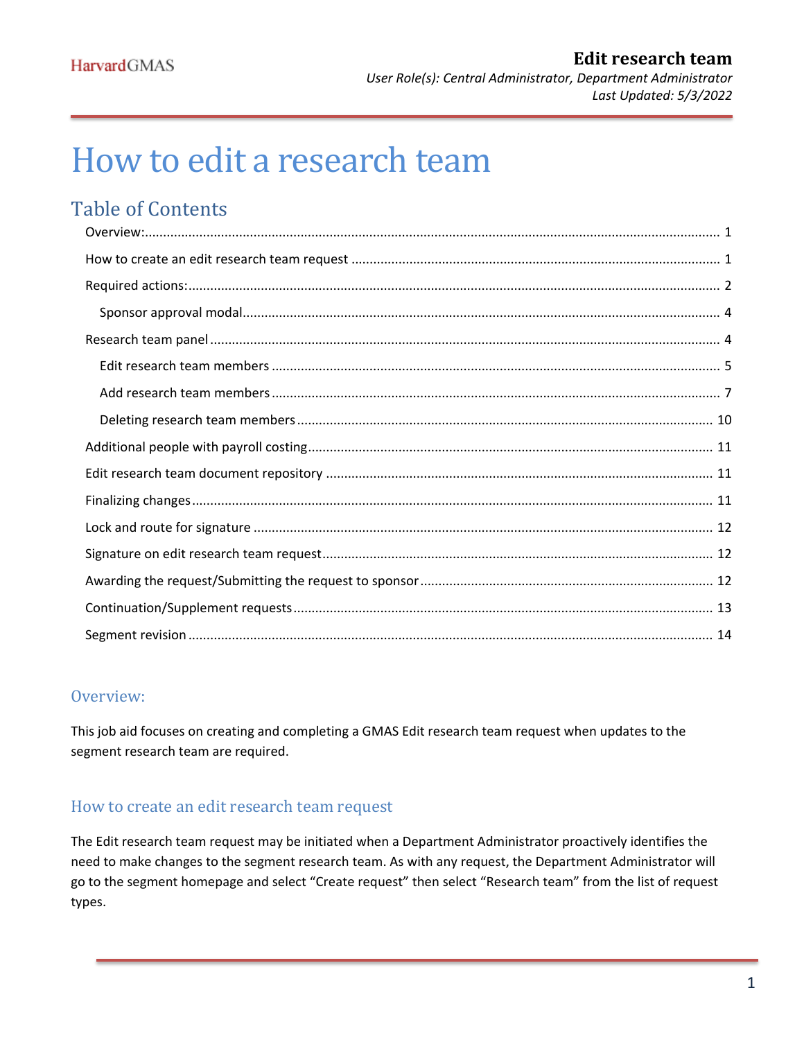# <span id="page-0-2"></span>How to edit a research team

# Table of Contents

# <span id="page-0-0"></span>Overview:

This job aid focuses on creating and completing a GMAS Edit research team request when updates to the segment research team are required.

## <span id="page-0-1"></span>How to create an edit research team request

The Edit research team request may be initiated when a Department Administrator proactively identifies the need to make changes to the segment research team. As with any request, the Department Administrator will go to the segment homepage and select "Create request" then select "Research team" from the list of request types.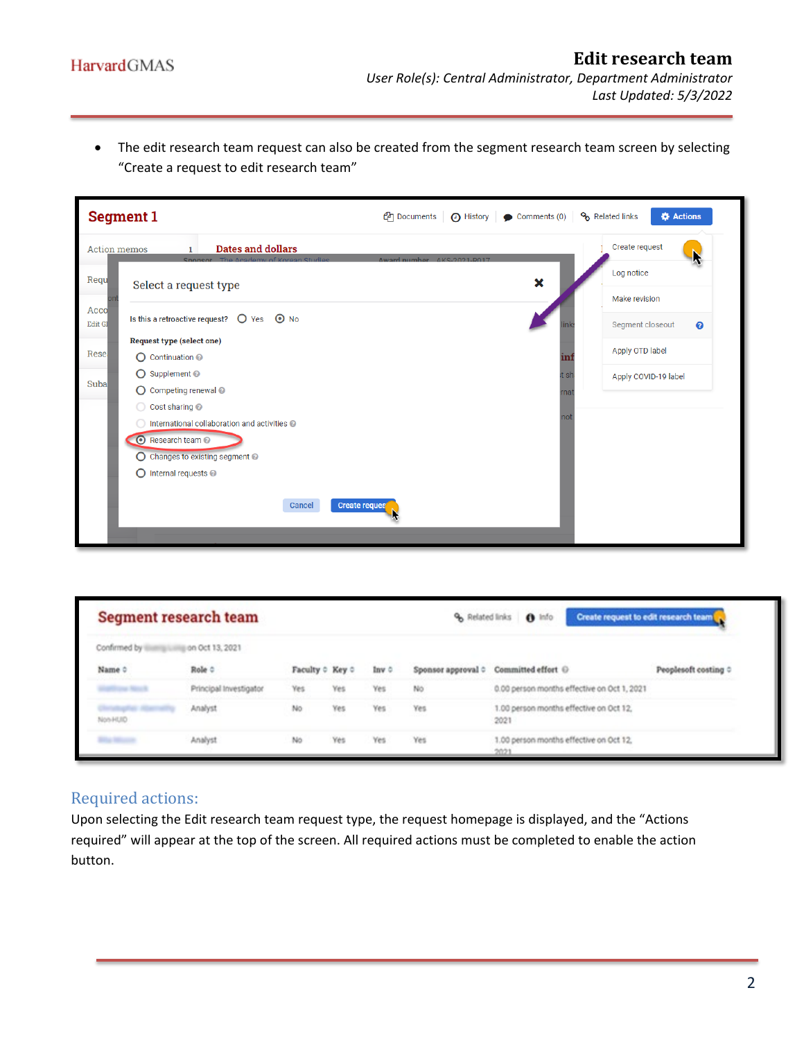• The edit research team request can also be created from the segment research team screen by selecting "Create a request to edit research team"

| <b>Segment 1</b>                                                                 | <b>P</b> Documents<br>◯ History   ◯ Comments (0)  <br>Related links<br><b>C</b> Actions |                       |
|----------------------------------------------------------------------------------|-----------------------------------------------------------------------------------------|-----------------------|
| <b>Dates and dollars</b><br><b>Action memos</b><br>The Academy of Korean Studies | Create request<br>Award numher AKS-2021-R017                                            | N                     |
| Requ<br>Select a request type                                                    | Log notice<br>$\boldsymbol{\mathsf{x}}$                                                 |                       |
|                                                                                  | Make revision                                                                           |                       |
| Acco<br>Is this a retroactive request? $\bigcirc$ Yes $\bigcirc$ No<br>Edit GI   | Segment closeout                                                                        | $\boldsymbol{\Omega}$ |
| <b>Request type (select one)</b>                                                 |                                                                                         |                       |
| Rese<br>◯ Continuation <sup>●</sup>                                              | Apply OTD label<br>īm                                                                   |                       |
| ◯ Supplement <sup>◎</sup><br>Suba                                                | it sh<br>Apply COVID-19 label                                                           |                       |
| ◯ Competing renewal <i>●</i>                                                     | mat                                                                                     |                       |
| Cost sharing @<br>Ω                                                              |                                                                                         |                       |
| International collaboration and activities @                                     | not                                                                                     |                       |
| Research team <sup>®</sup>                                                       |                                                                                         |                       |
| Changes to existing segment @<br>O                                               |                                                                                         |                       |
| Internal requests <sup>@</sup><br>O                                              |                                                                                         |                       |
|                                                                                  |                                                                                         |                       |
| Cancel<br><b>Create reques</b>                                                   |                                                                                         |                       |
|                                                                                  |                                                                                         |                       |

|                             | Segment research team  |                 |     |       |     | % Related links 8 Info                            | Create request to edit research team |
|-----------------------------|------------------------|-----------------|-----|-------|-----|---------------------------------------------------|--------------------------------------|
| Confirmed by                | ion Oct 13, 2021       |                 |     |       |     |                                                   |                                      |
| Name 0                      | Role 0                 | Faculty 0 Key 0 |     | lay 0 |     | Sponsor approval $\circ$ Committed effort $\odot$ | Peoplesoft costing 0                 |
| <b>Angele State Company</b> | Principal Investigator | Yes             | Yes | Yes   | No  | 0.00 person months effective on Oct 1, 2021       |                                      |
| Non-HUID                    | Analyst                | No              | Yes | Yes   | Yes | 1.00 person months effective on Oct 12,<br>2021   |                                      |
| <b>Billia Mounts</b>        | Analyst                | No.             | Yes | Yes   | Yes | 1.00 person months effective on Oct 12,<br>2021   |                                      |

# <span id="page-1-0"></span>Required actions:

Upon selecting the Edit research team request type, the request homepage is displayed, and the "Actions required" will appear at the top of the screen. All required actions must be completed to enable the action button.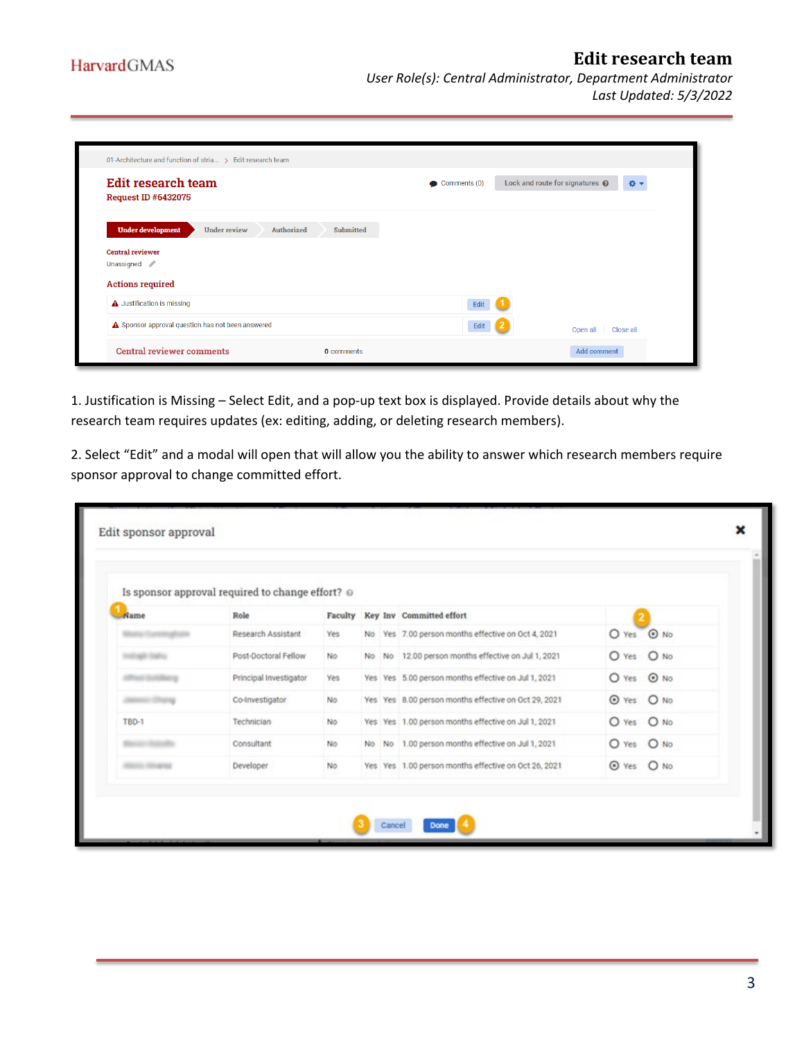*Last Updated: 5/3/2022*

| 01-Architecture and function of stria > Edit research team                                                            |                        |                                       |
|-----------------------------------------------------------------------------------------------------------------------|------------------------|---------------------------------------|
| Edit research team<br><b>Request ID #6432075</b>                                                                      | $\bullet$ Comments (0) | Lock and route for signatures @<br>春天 |
| <b>Under development</b><br>Submitted<br><b>Under review</b><br>Authorized<br><b>Central reviewer</b><br>Unassigned / |                        |                                       |
| <b>Actions required</b>                                                                                               |                        |                                       |
| A Justification is missing                                                                                            | Edit                   |                                       |
| A Sponsor approval question has not been answered                                                                     | Edit                   | Open all Close all                    |
| <b>Central reviewer comments</b><br>0 comments                                                                        |                        | <b>Add comment</b>                    |

1. Justification is Missing – Select Edit, and a pop-up text box is displayed. Provide details about why the research team requires updates (ex: editing, adding, or deleting research members).

2. Select "Edit" and a modal will open that will allow you the ability to answer which research members require sponsor approval to change committed effort.

|       | Is sponsor approval required to change effort? @ |     |  |                                                      |            |
|-------|--------------------------------------------------|-----|--|------------------------------------------------------|------------|
| Name  | Role                                             |     |  | Faculty Key Inv Committed effort                     |            |
|       | Research Assistant                               | Yes |  | No Yes 7.00 person months effective on Oct 4, 2021   | O Yes @ No |
|       | Post-Doctoral Fellow                             | No  |  | No No 12.00 person months effective on Jul 1, 2021   | O Yes O No |
|       | Principal Investigator                           | Yes |  | Yes Yes 5.00 person months effective on Jul 1, 2021  | O Yes @ No |
|       | Co-Investigator                                  | No  |  | Yes Yes 8.00 person months effective on Oct 29, 2021 | O Yes O No |
| TBD-1 | Technician                                       | No  |  | Yes Yes 1.00 person months effective on Jul 1, 2021  | O Yes O No |
|       | Consultant                                       | No. |  | No No 1.00 person months effective on Jul 1, 2021    | O Yes O No |
|       | Developer                                        | No  |  | Yes Yes 1.00 person months effective on Oct 26, 2021 | O Yes O No |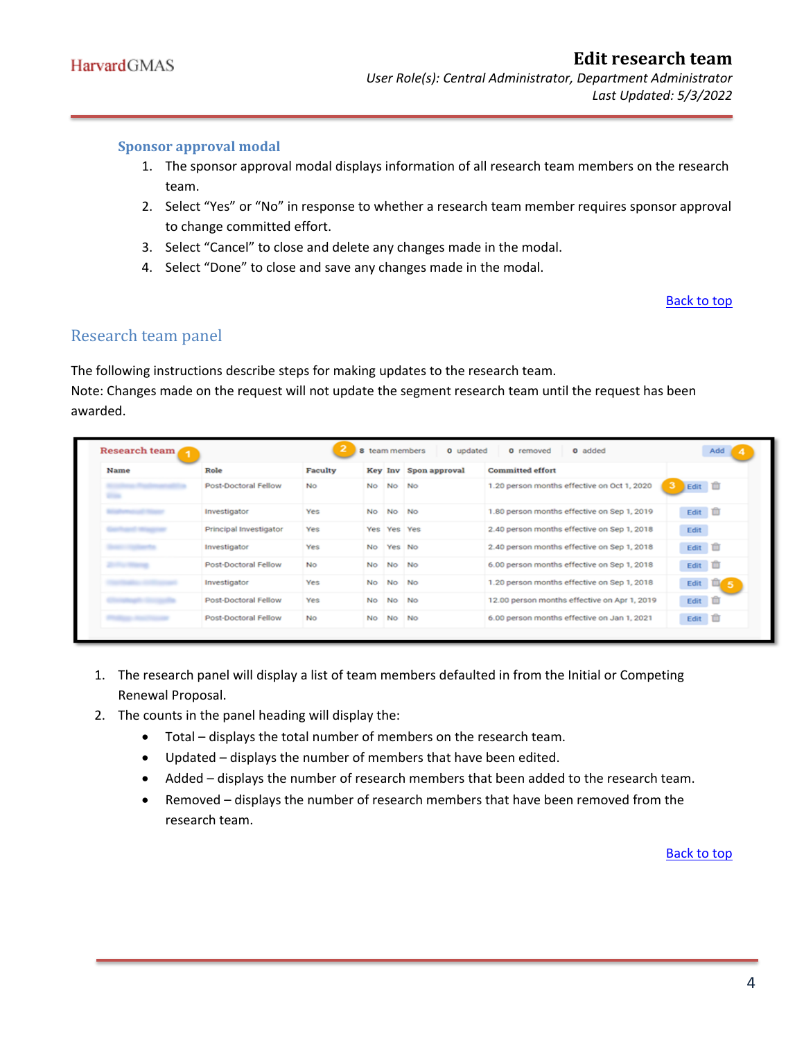#### <span id="page-3-0"></span>**Sponsor approval modal**

- 1. The sponsor approval modal displays information of all research team members on the research team.
- 2. Select "Yes" or "No" in response to whether a research team member requires sponsor approval to change committed effort.
- 3. Select "Cancel" to close and delete any changes made in the modal.
- 4. Select "Done" to close and save any changes made in the modal.

#### [Back to top](#page-0-2)

### <span id="page-3-1"></span>Research team panel

The following instructions describe steps for making updates to the research team.

Note: Changes made on the request will not update the segment research team until the request has been awarded.

| Name | Role                   | Faculty   |           |             | Key Inv Spon approval | <b>Committed effort</b>                      |                     |
|------|------------------------|-----------|-----------|-------------|-----------------------|----------------------------------------------|---------------------|
|      | Post-Doctoral Fellow   | No.       | No        | No No       |                       | 1.20 person months effective on Oct 1, 2020  | Edit <b>D</b><br>3. |
|      | Investigator           | Yes       | No        | No No       |                       | 1.80 person months effective on Sep 1, 2019  | Edit <b>III</b>     |
|      | Principal Investigator | Yes       |           | Yes Yes Yes |                       | 2.40 person months effective on Sep 1, 2018  | Edit                |
|      | Investigator           | Yes       | No.       | Yes No      |                       | 2.40 person months effective on Sep 1, 2018  | Edit <b>III</b>     |
|      | Post-Doctoral Fellow   | <b>No</b> | No        | No No       |                       | 6.00 person months effective on Sep 1, 2018  | Edit III            |
|      | Investigator           | Yes       | <b>No</b> | No No       |                       | 1.20 person months effective on Sep 1, 2018  | Edit $\Box$ 5       |
|      | Post-Doctoral Fellow   | Yes       | No.       | No          | <b>No</b>             | 12.00 person months effective on Apr 1, 2019 | Edit <b>III</b>     |
|      | Post-Doctoral Fellow   | <b>No</b> | No.       | No No       |                       | 6.00 person months effective on Jan 1, 2021  | Edit III            |

- 1. The research panel will display a list of team members defaulted in from the Initial or Competing Renewal Proposal.
- 2. The counts in the panel heading will display the:
	- Total displays the total number of members on the research team.
	- Updated displays the number of members that have been edited.
	- Added displays the number of research members that been added to the research team.
	- Removed displays the number of research members that have been removed from the research team.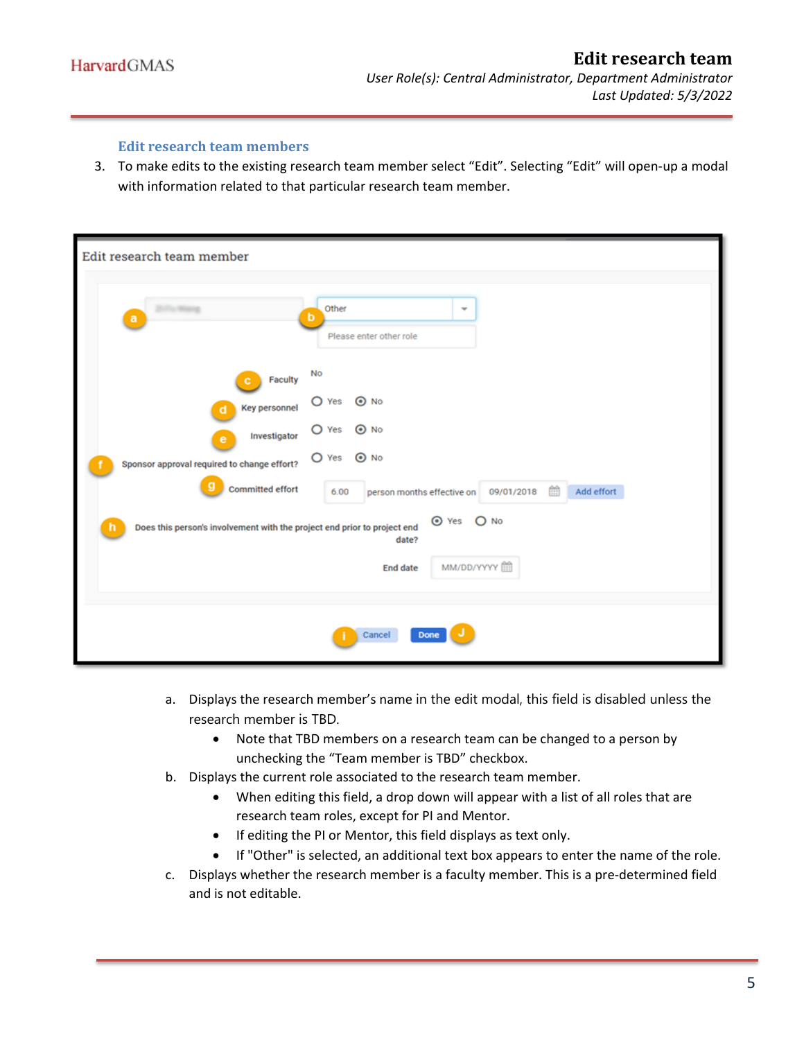#### **Edit research team members**

<span id="page-4-0"></span>3. To make edits to the existing research team member select "Edit". Selecting "Edit" will open-up a modal with information related to that particular research team member.

| Edit research team member                                                                                                                |                                                                                                                                                                  |
|------------------------------------------------------------------------------------------------------------------------------------------|------------------------------------------------------------------------------------------------------------------------------------------------------------------|
| a                                                                                                                                        | Other<br>٠<br>b<br>Please enter other role                                                                                                                       |
| Faculty<br>с<br><b>Key personnel</b><br>d<br>Investigator<br>e<br>Sponsor approval required to change effort?<br><b>Committed effort</b> | No<br>$\bigcirc$ Yes<br>$\odot$ No<br>$\bigcirc$ Yes<br>$\odot$ No<br>O Yes<br>$\odot$ No<br>曲<br>Add effort<br>09/01/2018<br>person months effective on<br>6.00 |
| Does this person's involvement with the project end prior to project end                                                                 | ⊙ Yes ○ No<br>date?<br>MM/DD/YYYY<br><b>End date</b>                                                                                                             |
|                                                                                                                                          | Cancel<br>Done                                                                                                                                                   |

- a. Displays the research member's name in the edit modal, this field is disabled unless the research member is TBD.
	- Note that TBD members on a research team can be changed to a person by unchecking the "Team member is TBD" checkbox.
- b. Displays the current role associated to the research team member.
	- When editing this field, a drop down will appear with a list of all roles that are research team roles, except for PI and Mentor.
	- If editing the PI or Mentor, this field displays as text only.
	- If "Other" is selected, an additional text box appears to enter the name of the role.
- c. Displays whether the research member is a faculty member. This is a pre-determined field and is not editable.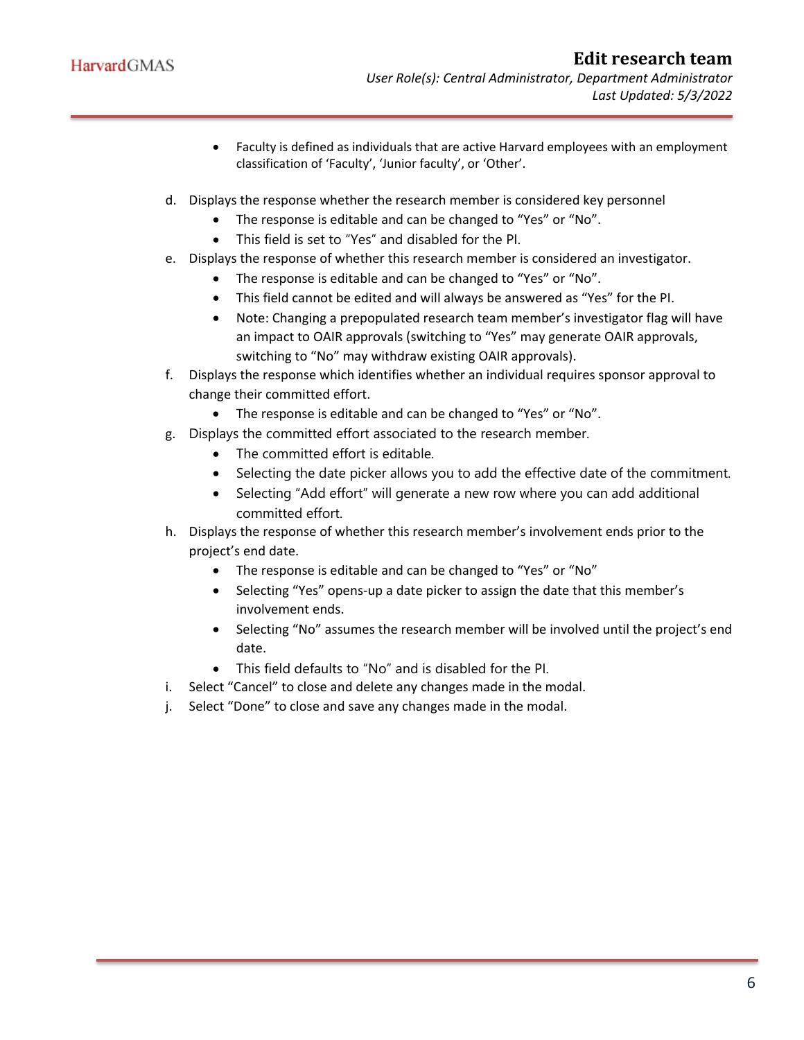- Faculty is defined as individuals that are active Harvard employees with an employment classification of 'Faculty', 'Junior faculty', or 'Other'.
- d. Displays the response whether the research member is considered key personnel
	- The response is editable and can be changed to "Yes" or "No".
	- This field is set to "Yes" and disabled for the PI.
- e. Displays the response of whether this research member is considered an investigator.
	- The response is editable and can be changed to "Yes" or "No".
	- This field cannot be edited and will always be answered as "Yes" for the PI.
	- Note: Changing a prepopulated research team member's investigator flag will have an impact to OAIR approvals (switching to "Yes" may generate OAIR approvals, switching to "No" may withdraw existing OAIR approvals).
- f. Displays the response which identifies whether an individual requires sponsor approval to change their committed effort.
	- The response is editable and can be changed to "Yes" or "No".
- g. Displays the committed effort associated to the research member.
	- The committed effort is editable.
	- Selecting the date picker allows you to add the effective date of the commitment.
	- Selecting "Add effort" will generate a new row where you can add additional committed effort.
- h. Displays the response of whether this research member's involvement ends prior to the project's end date.
	- The response is editable and can be changed to "Yes" or "No"
	- Selecting "Yes" opens-up a date picker to assign the date that this member's involvement ends.
	- Selecting "No" assumes the research member will be involved until the project's end date.
	- This field defaults to "No" and is disabled for the PI.
- i. Select "Cancel" to close and delete any changes made in the modal.
- j. Select "Done" to close and save any changes made in the modal.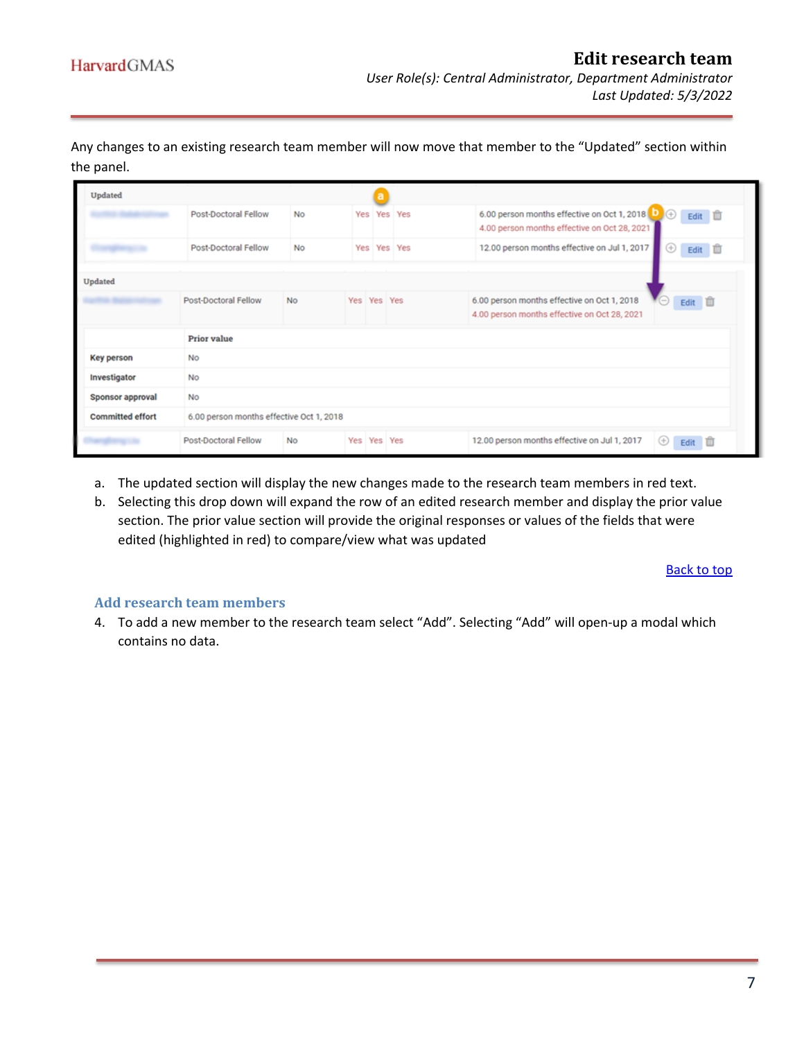Any changes to an existing research team member will now move that member to the "Updated" section within the panel.

| Updated                 |                                          |           |             |             |                                                                                                               |  |
|-------------------------|------------------------------------------|-----------|-------------|-------------|---------------------------------------------------------------------------------------------------------------|--|
|                         | Post-Doctoral Fellow                     | No.       |             | Yes Yes Yes | 6.00 person months effective on Oct 1, 2018 0 +<br>Edit III<br>4.00 person months effective on Oct 28, 2021   |  |
|                         | Post-Doctoral Fellow                     | No        |             | Yes Yes Yes | 12.00 person months effective on Jul 1, 2017<br>Edit III<br>⊕                                                 |  |
| Updated                 |                                          |           |             |             |                                                                                                               |  |
|                         | Post-Doctoral Fellow                     | <b>No</b> | Yes Yes Yes |             | 6.00 person months effective on Oct 1, 2018<br>ΨΘ<br>Edit III<br>4.00 person months effective on Oct 28, 2021 |  |
|                         | <b>Prior</b> value                       |           |             |             |                                                                                                               |  |
| <b>Key person</b>       | No                                       |           |             |             |                                                                                                               |  |
| Investigator            | No                                       |           |             |             |                                                                                                               |  |
| <b>Sponsor approval</b> | No                                       |           |             |             |                                                                                                               |  |
| <b>Committed effort</b> | 6.00 person months effective Oct 1, 2018 |           |             |             |                                                                                                               |  |
|                         | Post-Doctoral Fellow                     | <b>No</b> | Yes Yes Yes |             | 12.00 person months effective on Jul 1, 2017<br>$\circledast$<br>Edit III                                     |  |

- a. The updated section will display the new changes made to the research team members in red text.
- b. Selecting this drop down will expand the row of an edited research member and display the prior value section. The prior value section will provide the original responses or values of the fields that were edited (highlighted in red) to compare/view what was updated

[Back to top](#page-0-2)

#### <span id="page-6-0"></span>**Add research team members**

4. To add a new member to the research team select "Add". Selecting "Add" will open-up a modal which contains no data.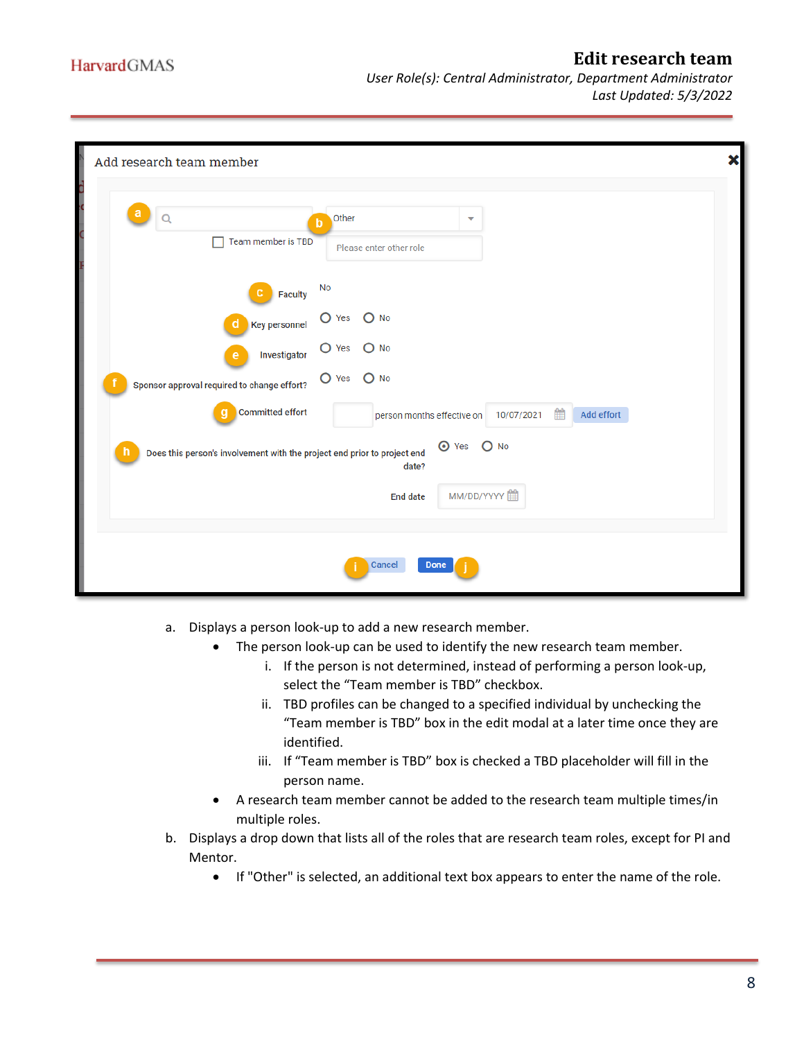| Add research team member                                                                    |                                                                                  |  |
|---------------------------------------------------------------------------------------------|----------------------------------------------------------------------------------|--|
| а<br>Q<br>Team member is TBD                                                                | Other<br>▼<br>$\mathbf b$<br>Please enter other role                             |  |
| <b>Faculty</b><br>С<br><b>Key personnel</b><br>d                                            | No<br>$\bigcirc$ Yes<br>$O$ No<br>$\overline{O}$ Yes<br>$O$ No                   |  |
| Investigator<br>е<br>Sponsor approval required to change effort?<br><b>Committed effort</b> | $O$ Yes<br>$O$ No<br>雦<br>Add effort<br>person months effective on<br>10/07/2021 |  |
| Does this person's involvement with the project end prior to project end                    | <b>⊙</b> Yes<br>$O$ No<br>date?<br>MM/DD/YYYY<br><b>End date</b>                 |  |
|                                                                                             | Cancel<br>Done                                                                   |  |

- a. Displays a person look-up to add a new research member.
	- The person look-up can be used to identify the new research team member.
		- i. If the person is not determined, instead of performing a person look-up, select the "Team member is TBD" checkbox.
		- ii. TBD profiles can be changed to a specified individual by unchecking the "Team member is TBD" box in the edit modal at a later time once they are identified.
		- iii. If "Team member is TBD" box is checked a TBD placeholder will fill in the person name.
	- A research team member cannot be added to the research team multiple times/in multiple roles.
- b. Displays a drop down that lists all of the roles that are research team roles, except for PI and Mentor.
	- If "Other" is selected, an additional text box appears to enter the name of the role.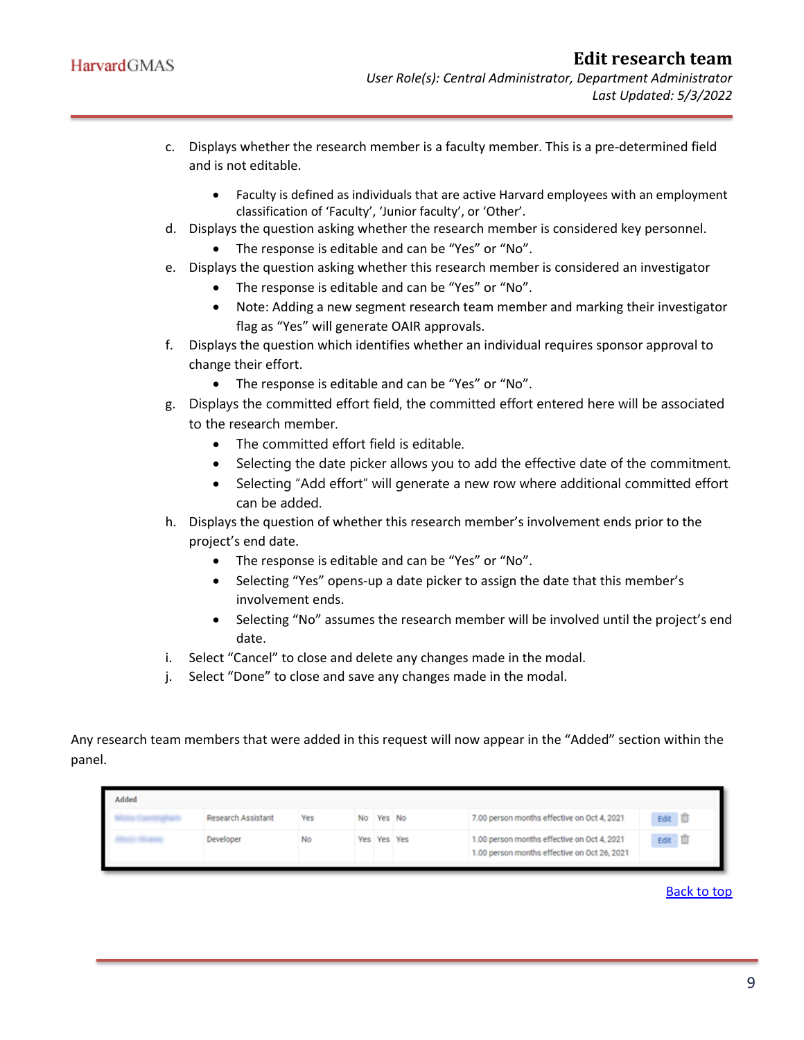- c. Displays whether the research member is a faculty member. This is a pre-determined field and is not editable.
	- Faculty is defined as individuals that are active Harvard employees with an employment classification of 'Faculty', 'Junior faculty', or 'Other'.
- d. Displays the question asking whether the research member is considered key personnel.
	- The response is editable and can be "Yes" or "No".
- e. Displays the question asking whether this research member is considered an investigator
	- The response is editable and can be "Yes" or "No".
	- Note: Adding a new segment research team member and marking their investigator flag as "Yes" will generate OAIR approvals.
- f. Displays the question which identifies whether an individual requires sponsor approval to change their effort.
	- The response is editable and can be "Yes" or "No".
- g. Displays the committed effort field, the committed effort entered here will be associated to the research member.
	- The committed effort field is editable.
	- Selecting the date picker allows you to add the effective date of the commitment.
	- Selecting "Add effort" will generate a new row where additional committed effort can be added.
- h. Displays the question of whether this research member's involvement ends prior to the project's end date.
	- The response is editable and can be "Yes" or "No".
	- Selecting "Yes" opens-up a date picker to assign the date that this member's involvement ends.
	- Selecting "No" assumes the research member will be involved until the project's end date.
- i. Select "Cancel" to close and delete any changes made in the modal.
- j. Select "Done" to close and save any changes made in the modal.

Any research team members that were added in this request will now appear in the "Added" section within the panel.

| Added |                           |     |             |                                                                                             |                   |  |
|-------|---------------------------|-----|-------------|---------------------------------------------------------------------------------------------|-------------------|--|
|       | <b>Research Assistant</b> | Yes | No Yes No   | 7.00 person months effective on Oct 4, 2021                                                 | Edit III          |  |
|       | Developer                 | No  | Yes Yes Yes | 1.00 person months effective on Oct 4, 2021<br>1.00 person months effective on Oct 26, 2021 | Edit <sup>1</sup> |  |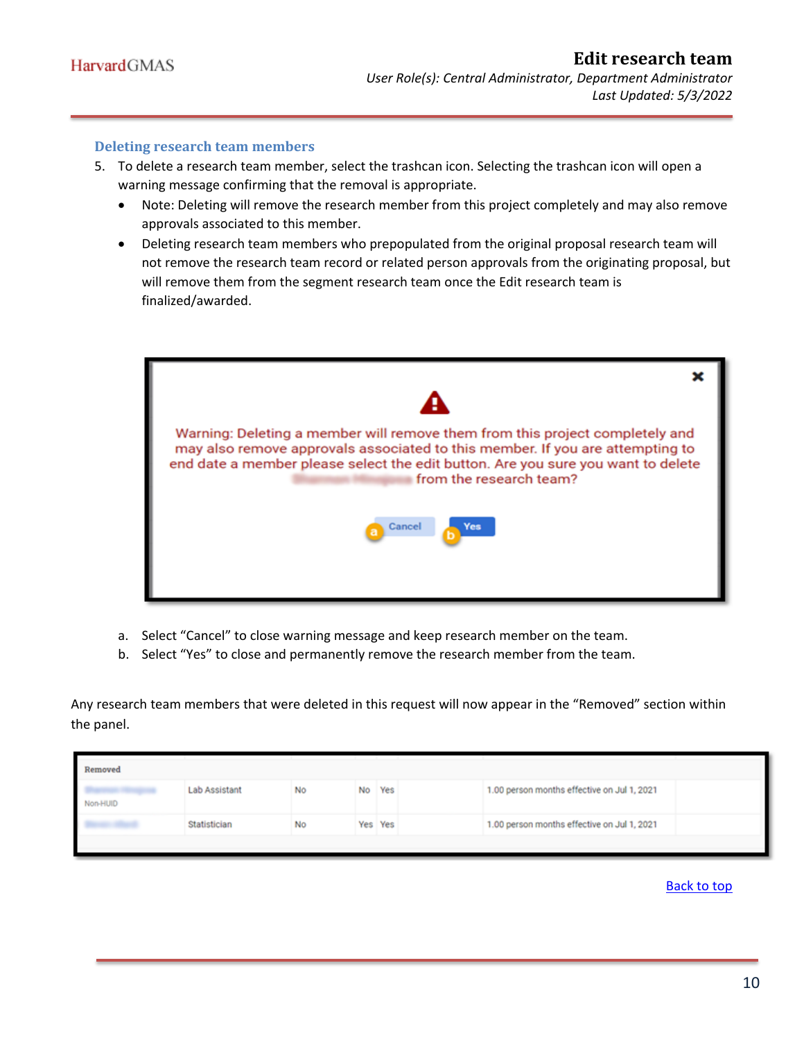#### <span id="page-9-0"></span>**Deleting research team members**

- 5. To delete a research team member, select the trashcan icon. Selecting the trashcan icon will open a warning message confirming that the removal is appropriate.
	- Note: Deleting will remove the research member from this project completely and may also remove approvals associated to this member.
	- Deleting research team members who prepopulated from the original proposal research team will not remove the research team record or related person approvals from the originating proposal, but will remove them from the segment research team once the Edit research team is finalized/awarded.



- a. Select "Cancel" to close warning message and keep research member on the team.
- b. Select "Yes" to close and permanently remove the research member from the team.

Any research team members that were deleted in this request will now appear in the "Removed" section within the panel.

| 1.00 person months effective on Jul 1, 2021<br>Lab Assistant<br>No Yes<br>No<br>Non-HUID | Removed |  |  |  |
|------------------------------------------------------------------------------------------|---------|--|--|--|
|                                                                                          |         |  |  |  |
| 1.00 person months effective on Jul 1, 2021<br>Statistician<br>Yes Yes<br>No             |         |  |  |  |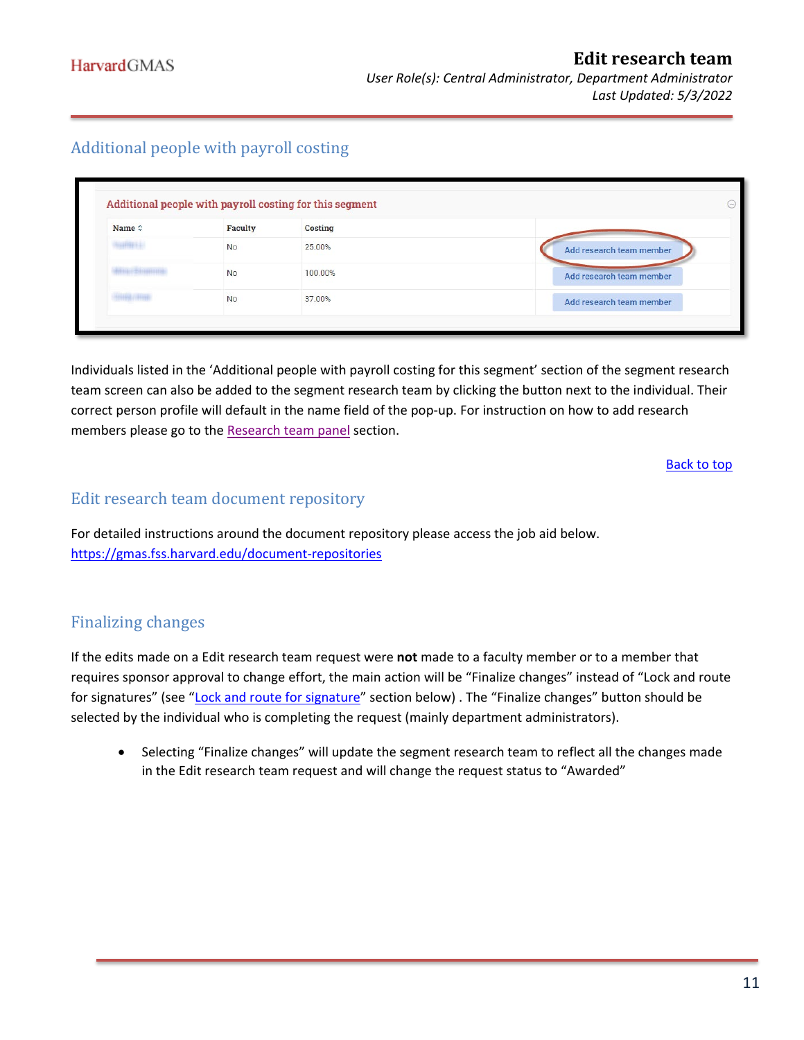# <span id="page-10-0"></span>Additional people with payroll costing

| Name $\diamond$ | Faculty   | <b>Costing</b> |                          |
|-----------------|-----------|----------------|--------------------------|
| mpi :           | <b>No</b> | 25,00%         | Add research team member |
|                 | <b>No</b> | 100,00%        | Add research team member |
|                 | <b>No</b> | 37.00%         | Add research team member |

Individuals listed in the 'Additional people with payroll costing for this segment' section of the segment research team screen can also be added to the segment research team by clicking the button next to the individual. Their correct person profile will default in the name field of the pop-up. For instruction on how to add research members please go to the [Research team panel](#page-6-0) section.

[Back to top](#page-0-2)

## <span id="page-10-1"></span>Edit research team document repository

For detailed instructions around the document repository please access the job aid below. <https://gmas.fss.harvard.edu/document-repositories>

# <span id="page-10-2"></span>Finalizing changes

If the edits made on a Edit research team request were **not** made to a faculty member or to a member that requires sponsor approval to change effort, the main action will be "Finalize changes" instead of "Lock and route for signatures" (see ["Lock and route for signature"](#page-11-0) section below). The "Finalize changes" button should be selected by the individual who is completing the request (mainly department administrators).

• Selecting "Finalize changes" will update the segment research team to reflect all the changes made in the Edit research team request and will change the request status to "Awarded"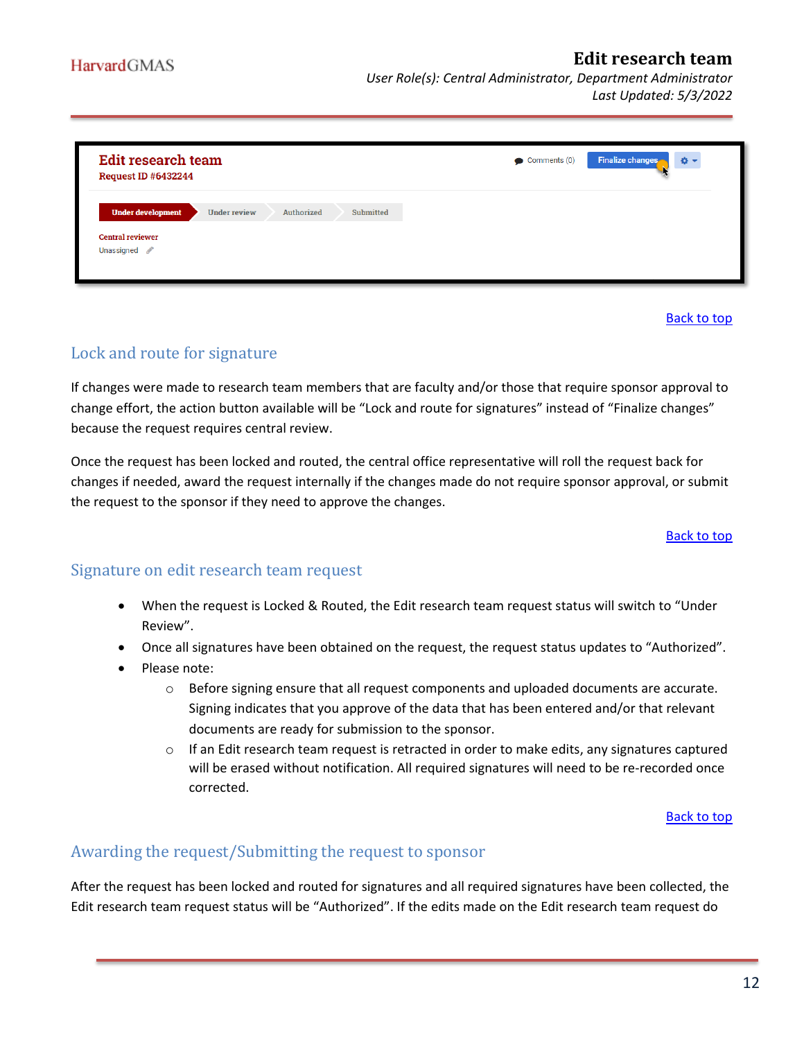| <b>Edit research team</b><br><b>Request ID #6432244</b>             |                     |            |           | $\bullet$ Comments (0) | <b>Finalize changes</b><br>$\Phi$ - |
|---------------------------------------------------------------------|---------------------|------------|-----------|------------------------|-------------------------------------|
| <b>Under development</b><br><b>Central reviewer</b><br>Unassigned / | <b>Under review</b> | Authorized | Submitted |                        |                                     |

[Back to top](#page-0-2)

# <span id="page-11-0"></span>Lock and route for signature

If changes were made to research team members that are faculty and/or those that require sponsor approval to change effort, the action button available will be "Lock and route for signatures" instead of "Finalize changes" because the request requires central review.

Once the request has been locked and routed, the central office representative will roll the request back for changes if needed, award the request internally if the changes made do not require sponsor approval, or submit the request to the sponsor if they need to approve the changes.

#### [Back to top](#page-0-2)

## <span id="page-11-1"></span>Signature on edit research team request

- When the request is Locked & Routed, the Edit research team request status will switch to "Under Review".
- Once all signatures have been obtained on the request, the request status updates to "Authorized".
- Please note:
	- $\circ$  Before signing ensure that all request components and uploaded documents are accurate. Signing indicates that you approve of the data that has been entered and/or that relevant documents are ready for submission to the sponsor.
	- $\circ$  If an Edit research team request is retracted in order to make edits, any signatures captured will be erased without notification. All required signatures will need to be re-recorded once corrected.

[Back to top](#page-0-2)

## <span id="page-11-2"></span>Awarding the request/Submitting the request to sponsor

After the request has been locked and routed for signatures and all required signatures have been collected, the Edit research team request status will be "Authorized". If the edits made on the Edit research team request do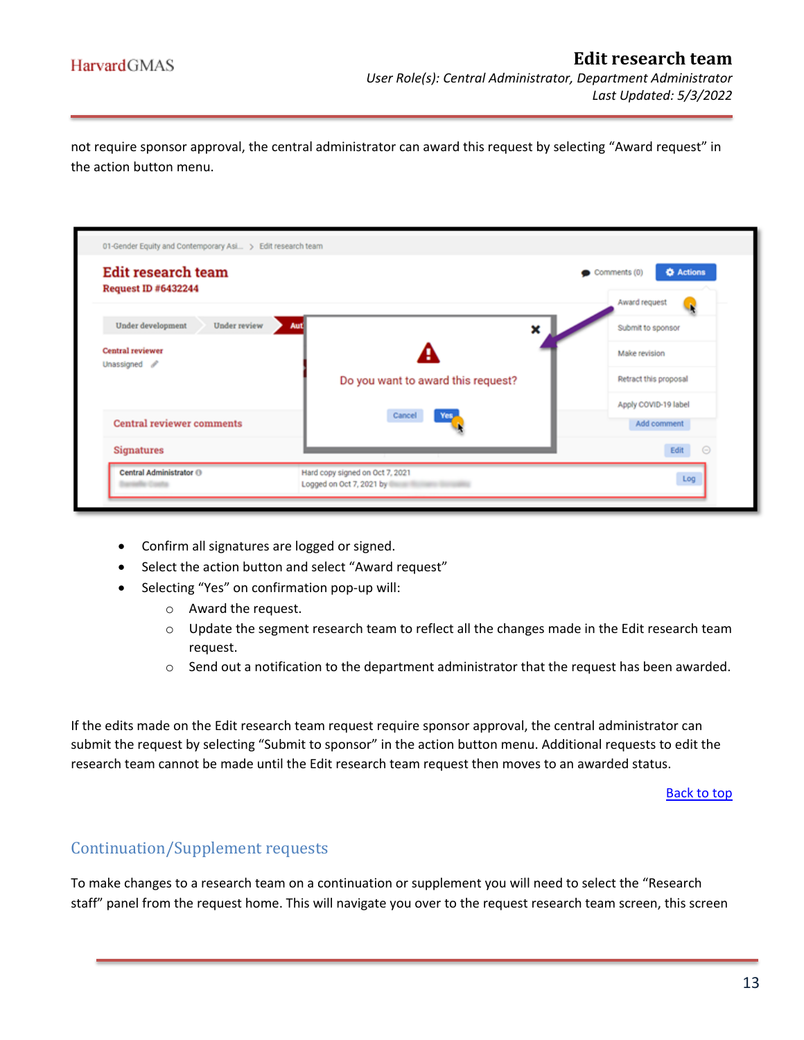not require sponsor approval, the central administrator can award this request by selecting "Award request" in the action button menu.

| <b>Edit research team</b><br><b>Request ID #6432244</b> |                                    | <b>O</b> Actions<br>$\bullet$ Comments (0) |
|---------------------------------------------------------|------------------------------------|--------------------------------------------|
|                                                         |                                    | Award request                              |
| Under review<br>Under development                       | Aut]<br>×                          | Submit to sponsor                          |
| Central reviewer                                        | H                                  | Make revision                              |
| Unassigned /                                            | Do you want to award this request? | Retract this proposal                      |
|                                                         |                                    | Apply COVID-19 label                       |
| <b>Central reviewer comments</b>                        | Cancel<br>Yes                      | Add comment                                |
| <b>Signatures</b>                                       |                                    | $\odot$<br>Edit                            |

- Confirm all signatures are logged or signed.
- Select the action button and select "Award request"
- Selecting "Yes" on confirmation pop-up will:
	- o Award the request.
	- o Update the segment research team to reflect all the changes made in the Edit research team request.
	- o Send out a notification to the department administrator that the request has been awarded.

If the edits made on the Edit research team request require sponsor approval, the central administrator can submit the request by selecting "Submit to sponsor" in the action button menu. Additional requests to edit the research team cannot be made until the Edit research team request then moves to an awarded status.

[Back to top](#page-0-2)

## <span id="page-12-0"></span>Continuation/Supplement requests

To make changes to a research team on a continuation or supplement you will need to select the "Research staff" panel from the request home. This will navigate you over to the request research team screen, this screen